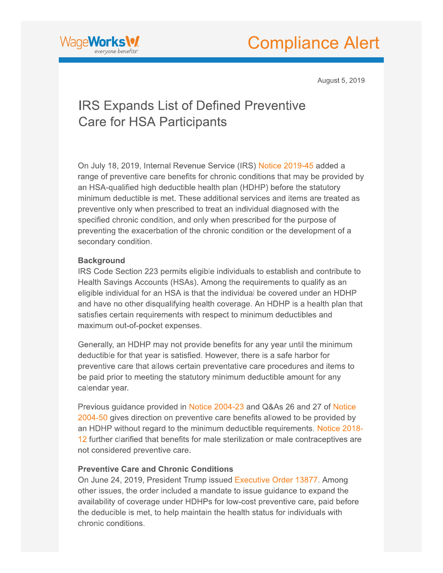



August 5, 2019

## **IRS Expands List of Defined Preventive Care for HSA Participants**

On July 18, 2019, Internal Revenue Service (IRS) Notice 2019-45 added a range of preventive care benefits for chronic conditions that may be provided by an HSA-qualified high deductible health plan (HDHP) before the statutory minimum deductible is met. These additional services and items are treated as preventive only when prescribed to treat an individual diagnosed with the specified chronic condition, and only when prescribed for the purpose of preventing the exacerbation of the chronic condition or the development of a secondary condition.

## **Background**

IRS Code Section 223 permits eligible individuals to establish and contribute to Health Savings Accounts (HSAs). Among the requirements to qualify as an eligible individual for an HSA is that the individual be covered under an HDHP and have no other disqualifying health coverage. An HDHP is a health plan that satisfies certain requirements with respect to minimum deductibles and maximum out-of-pocket expenses.

Generally, an HDHP may not provide benefits for any year until the minimum deductible for that year is satisfied. However, there is a safe harbor for preventive care that allows certain preventative care procedures and items to be paid prior to meeting the statutory minimum deductible amount for any calendar year.

Previous guidance provided in Notice 2004-23 and Q&As 26 and 27 of Notice 2004-50 gives direction on preventive care benefits allowed to be provided by an HDHP without regard to the minimum deductible requirements. Notice 2018-12 further clarified that benefits for male sterilization or male contraceptives are not considered preventive care.

## **Preventive Care and Chronic Conditions**

On June 24, 2019, President Trump issued Executive Order 13877. Among other issues, the order included a mandate to issue quidance to expand the availability of coverage under HDHPs for low-cost preventive care, paid before the deducible is met, to help maintain the health status for individuals with chronic conditions.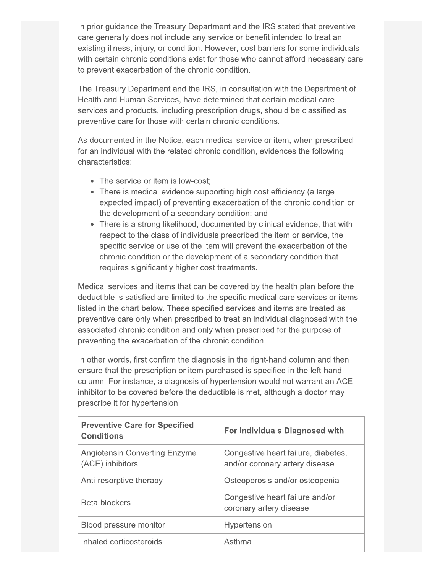In prior guidance the Treasury Department and the IRS stated that preventive care generally does not include any service or benefit intended to treat an existing illness, injury, or condition. However, cost barriers for some individuals with certain chronic conditions exist for those who cannot afford necessary care to prevent exacerbation of the chronic condition.

The Treasury Department and the IRS, in consultation with the Department of Health and Human Services, have determined that certain medical care services and products, including prescription drugs, should be classified as preventive care for those with certain chronic conditions.

As documented in the Notice, each medical service or item, when prescribed for an individual with the related chronic condition, evidences the following characteristics:

- The service or item is low-cost;
- There is medical evidence supporting high cost efficiency (a large expected impact) of preventing exacerbation of the chronic condition or the development of a secondary condition; and
- There is a strong likelihood, documented by clinical evidence, that with respect to the class of individuals prescribed the item or service, the specific service or use of the item will prevent the exacerbation of the chronic condition or the development of a secondary condition that requires significantly higher cost treatments.

Medical services and items that can be covered by the health plan before the deductible is satisfied are limited to the specific medical care services or items listed in the chart below. These specified services and items are treated as preventive care only when prescribed to treat an individual diagnosed with the associated chronic condition and only when prescribed for the purpose of preventing the exacerbation of the chronic condition.

In other words, first confirm the diagnosis in the right-hand column and then ensure that the prescription or item purchased is specified in the left-hand column. For instance, a diagnosis of hypertension would not warrant an ACE inhibitor to be covered before the deductible is met, although a doctor may prescribe it for hypertension.

| <b>Preventive Care for Specified</b><br><b>Conditions</b> | <b>For Individuals Diagnosed with</b>                                 |
|-----------------------------------------------------------|-----------------------------------------------------------------------|
| <b>Angiotensin Converting Enzyme</b><br>(ACE) inhibitors  | Congestive heart failure, diabetes,<br>and/or coronary artery disease |
| Anti-resorptive therapy                                   | Osteoporosis and/or osteopenia                                        |
| Beta-blockers                                             | Congestive heart failure and/or<br>coronary artery disease            |
| Blood pressure monitor                                    | Hypertension                                                          |
| Inhaled corticosteroids                                   | Asthma                                                                |